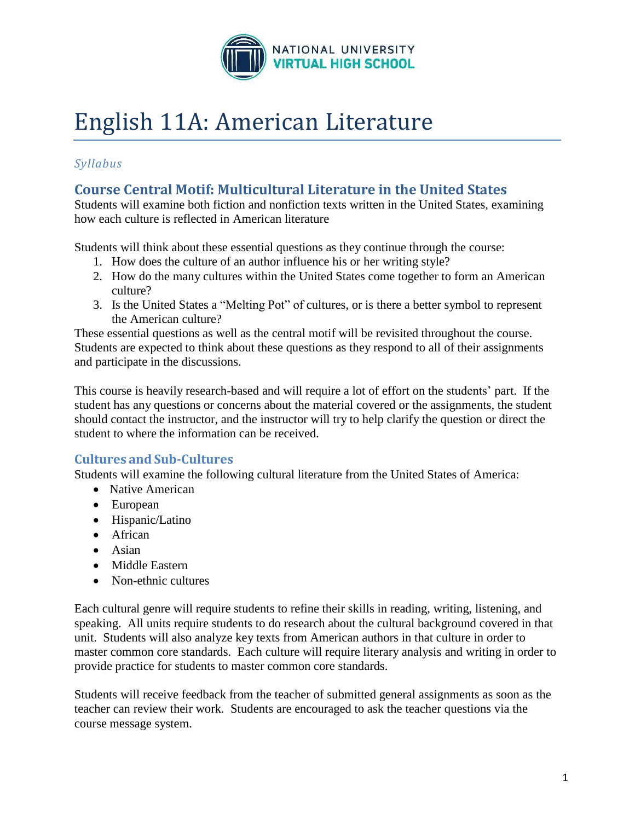

# English 11A: American Literature

# *Syllabus*

# **Course Central Motif: Multicultural Literature in the United States**

Students will examine both fiction and nonfiction texts written in the United States, examining how each culture is reflected in American literature

Students will think about these essential questions as they continue through the course:

- 1. How does the culture of an author influence his or her writing style?
- 2. How do the many cultures within the United States come together to form an American culture?
- 3. Is the United States a "Melting Pot" of cultures, or is there a better symbol to represent the American culture?

These essential questions as well as the central motif will be revisited throughout the course. Students are expected to think about these questions as they respond to all of their assignments and participate in the discussions.

This course is heavily research-based and will require a lot of effort on the students' part. If the student has any questions or concerns about the material covered or the assignments, the student should contact the instructor, and the instructor will try to help clarify the question or direct the student to where the information can be received.

# **Cultures and Sub-Cultures**

Students will examine the following cultural literature from the United States of America:

- Native American
- European
- Hispanic/Latino
- African
- $\bullet$  Asian
- Middle Eastern
- Non-ethnic cultures

Each cultural genre will require students to refine their skills in reading, writing, listening, and speaking. All units require students to do research about the cultural background covered in that unit. Students will also analyze key texts from American authors in that culture in order to master common core standards. Each culture will require literary analysis and writing in order to provide practice for students to master common core standards.

Students will receive feedback from the teacher of submitted general assignments as soon as the teacher can review their work. Students are encouraged to ask the teacher questions via the course message system.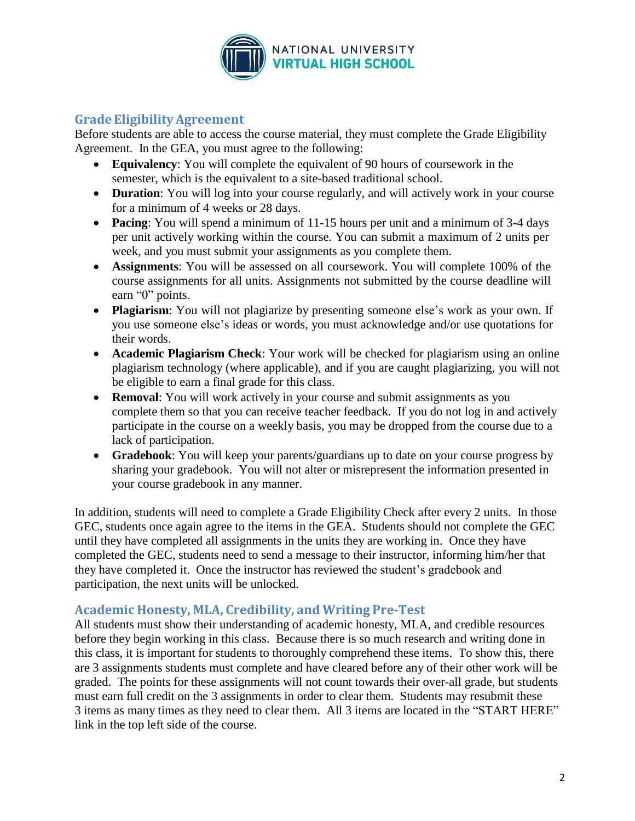

## **Grade EligibilityAgreement**

Before students are able to access the course material, they must complete the Grade Eligibility Agreement. In the GEA, you must agree to the following:

- **Equivalency**: You will complete the equivalent of 90 hours of coursework in the semester, which is the equivalent to a site-based traditional school.
- **Duration**: You will log into your course regularly, and will actively work in your course for a minimum of 4 weeks or 28 days.
- **Pacing**: You will spend a minimum of 11-15 hours per unit and a minimum of 3-4 days per unit actively working within the course. You can submit a maximum of 2 units per week, and you must submit your assignments as you complete them.
- **Assignments**: You will be assessed on all coursework. You will complete 100% of the course assignments for all units. Assignments not submitted by the course deadline will earn "0" points.
- **Plagiarism**: You will not plagiarize by presenting someone else's work as your own. If you use someone else's ideas or words, you must acknowledge and/or use quotations for their words.
- **Academic Plagiarism Check**: Your work will be checked for plagiarism using an online plagiarism technology (where applicable), and if you are caught plagiarizing, you will not be eligible to earn a final grade for this class.
- **Removal**: You will work actively in your course and submit assignments as you complete them so that you can receive teacher feedback. If you do not log in and actively participate in the course on a weekly basis, you may be dropped from the course due to a lack of participation.
- **Gradebook**: You will keep your parents/guardians up to date on your course progress by sharing your gradebook. You will not alter or misrepresent the information presented in your course gradebook in any manner.

In addition, students will need to complete a Grade Eligibility Check after every 2 units. In those GEC, students once again agree to the items in the GEA. Students should not complete the GEC until they have completed all assignments in the units they are working in. Once they have completed the GEC, students need to send a message to their instructor, informing him/her that they have completed it. Once the instructor has reviewed the student's gradebook and participation, the next units will be unlocked.

# **Academic Honesty, MLA, Credibility, and Writing Pre-Test**

All students must show their understanding of academic honesty, MLA, and credible resources before they begin working in this class. Because there is so much research and writing done in this class, it is important for students to thoroughly comprehend these items. To show this, there are 3 assignments students must complete and have cleared before any of their other work will be graded. The points for these assignments will not count towards their over-all grade, but students must earn full credit on the 3 assignments in order to clear them. Students may resubmit these 3 items as many times as they need to clear them. All 3 items are located in the "START HERE" link in the top left side of the course.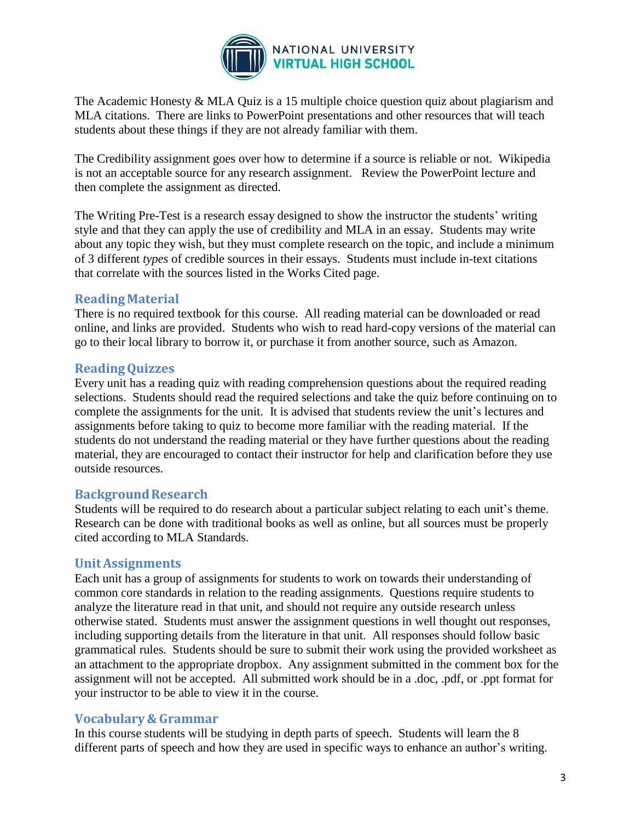

The Academic Honesty & MLA Quiz is a 15 multiple choice question quiz about plagiarism and MLA citations. There are links to PowerPoint presentations and other resources that will teach students about these things if they are not already familiar with them.

The Credibility assignment goes over how to determine if a source is reliable or not. Wikipedia is not an acceptable source for any research assignment. Review the PowerPoint lecture and then complete the assignment as directed.

The Writing Pre-Test is a research essay designed to show the instructor the students' writing style and that they can apply the use of credibility and MLA in an essay. Students may write about any topic they wish, but they must complete research on the topic, and include a minimum of 3 different *types* of credible sources in their essays. Students must include in-text citations that correlate with the sources listed in the Works Cited page.

## **ReadingMaterial**

There is no required textbook for this course. All reading material can be downloaded or read online, and links are provided. Students who wish to read hard-copy versions of the material can go to their local library to borrow it, or purchase it from another source, such as Amazon.

## **ReadingQuizzes**

Every unit has a reading quiz with reading comprehension questions about the required reading selections. Students should read the required selections and take the quiz before continuing on to complete the assignments for the unit. It is advised that students review the unit's lectures and assignments before taking to quiz to become more familiar with the reading material. If the students do not understand the reading material or they have further questions about the reading material, they are encouraged to contact their instructor for help and clarification before they use outside resources.

## **BackgroundResearch**

Students will be required to do research about a particular subject relating to each unit's theme. Research can be done with traditional books as well as online, but all sources must be properly cited according to MLA Standards.

## **UnitAssignments**

Each unit has a group of assignments for students to work on towards their understanding of common core standards in relation to the reading assignments. Questions require students to analyze the literature read in that unit, and should not require any outside research unless otherwise stated. Students must answer the assignment questions in well thought out responses, including supporting details from the literature in that unit. All responses should follow basic grammatical rules. Students should be sure to submit their work using the provided worksheet as an attachment to the appropriate dropbox. Any assignment submitted in the comment box for the assignment will not be accepted. All submitted work should be in a .doc, .pdf, or .ppt format for your instructor to be able to view it in the course.

## **Vocabulary & Grammar**

In this course students will be studying in depth parts of speech. Students will learn the 8 different parts of speech and how they are used in specific ways to enhance an author's writing.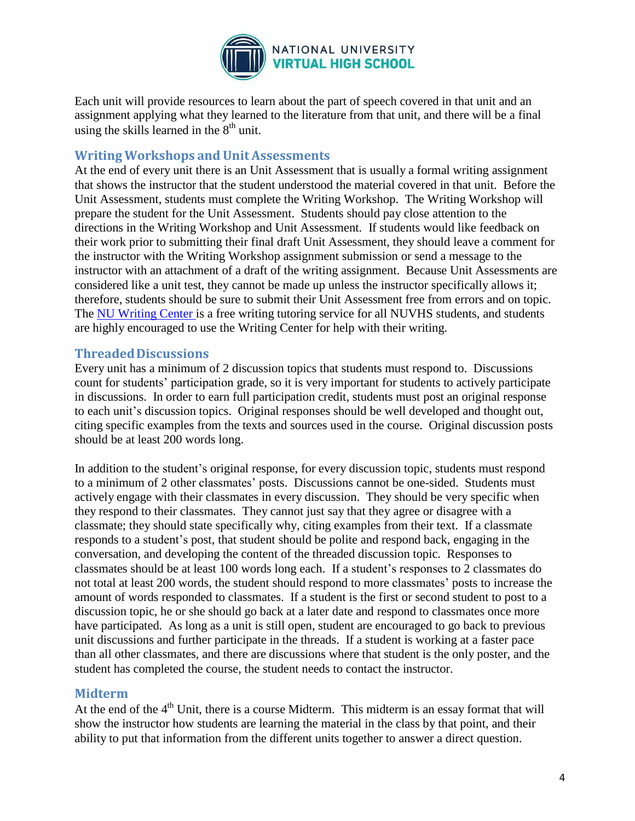

Each unit will provide resources to learn about the part of speech covered in that unit and an assignment applying what they learned to the literature from that unit, and there will be a final using the skills learned in the  $8<sup>th</sup>$  unit.

#### **Writing Workshops and Unit Assessments**

At the end of every unit there is an Unit Assessment that is usually a formal writing assignment that shows the instructor that the student understood the material covered in that unit. Before the Unit Assessment, students must complete the Writing Workshop. The Writing Workshop will prepare the student for the Unit Assessment. Students should pay close attention to the directions in the Writing Workshop and Unit Assessment. If students would like feedback on their work prior to submitting their final draft Unit Assessment, they should leave a comment for the instructor with the Writing Workshop assignment submission or send a message to the instructor with an attachment of a draft of the writing assignment. Because Unit Assessments are considered like a unit test, they cannot be made up unless the instructor specifically allows it; therefore, students should be sure to submit their Unit Assessment free from errors and on topic. The NU [Writing](http://www.nu.edu/OurPrograms/StudentServices/WritingCenter.html) Center is a free writing tutoring service for all NUVHS students, and students are highly encouraged to use the Writing Center for help with their writing.

#### **ThreadedDiscussions**

Every unit has a minimum of 2 discussion topics that students must respond to. Discussions count for students' participation grade, so it is very important for students to actively participate in discussions. In order to earn full participation credit, students must post an original response to each unit's discussion topics. Original responses should be well developed and thought out, citing specific examples from the texts and sources used in the course. Original discussion posts should be at least 200 words long.

In addition to the student's original response, for every discussion topic, students must respond to a minimum of 2 other classmates' posts. Discussions cannot be one-sided. Students must actively engage with their classmates in every discussion. They should be very specific when they respond to their classmates. They cannot just say that they agree or disagree with a classmate; they should state specifically why, citing examples from their text. If a classmate responds to a student's post, that student should be polite and respond back, engaging in the conversation, and developing the content of the threaded discussion topic. Responses to classmates should be at least 100 words long each. If a student's responses to 2 classmates do not total at least 200 words, the student should respond to more classmates' posts to increase the amount of words responded to classmates. If a student is the first or second student to post to a discussion topic, he or she should go back at a later date and respond to classmates once more have participated. As long as a unit is still open, student are encouraged to go back to previous unit discussions and further participate in the threads. If a student is working at a faster pace than all other classmates, and there are discussions where that student is the only poster, and the student has completed the course, the student needs to contact the instructor.

## **Midterm**

At the end of the  $4<sup>th</sup>$  Unit, there is a course Midterm. This midterm is an essay format that will show the instructor how students are learning the material in the class by that point, and their ability to put that information from the different units together to answer a direct question.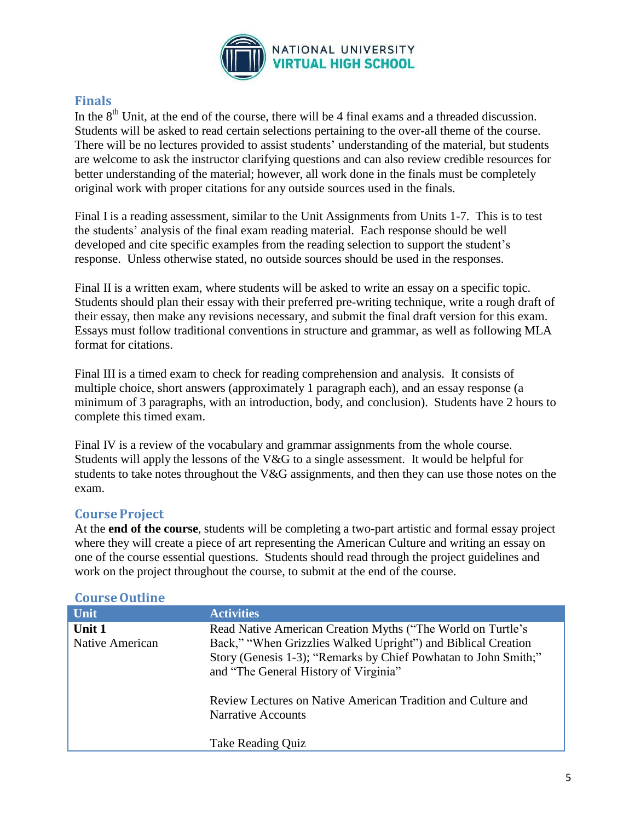

#### **Finals**

In the  $8<sup>th</sup>$  Unit, at the end of the course, there will be 4 final exams and a threaded discussion. Students will be asked to read certain selections pertaining to the over-all theme of the course. There will be no lectures provided to assist students' understanding of the material, but students are welcome to ask the instructor clarifying questions and can also review credible resources for better understanding of the material; however, all work done in the finals must be completely original work with proper citations for any outside sources used in the finals.

Final I is a reading assessment, similar to the Unit Assignments from Units 1-7. This is to test the students' analysis of the final exam reading material. Each response should be well developed and cite specific examples from the reading selection to support the student's response. Unless otherwise stated, no outside sources should be used in the responses.

Final II is a written exam, where students will be asked to write an essay on a specific topic. Students should plan their essay with their preferred pre-writing technique, write a rough draft of their essay, then make any revisions necessary, and submit the final draft version for this exam. Essays must follow traditional conventions in structure and grammar, as well as following MLA format for citations.

Final III is a timed exam to check for reading comprehension and analysis. It consists of multiple choice, short answers (approximately 1 paragraph each), and an essay response (a minimum of 3 paragraphs, with an introduction, body, and conclusion). Students have 2 hours to complete this timed exam.

Final IV is a review of the vocabulary and grammar assignments from the whole course. Students will apply the lessons of the V&G to a single assessment. It would be helpful for students to take notes throughout the V&G assignments, and then they can use those notes on the exam.

#### **CourseProject**

At the **end of the course**, students will be completing a two-part artistic and formal essay project where they will create a piece of art representing the American Culture and writing an essay on one of the course essential questions. Students should read through the project guidelines and work on the project throughout the course, to submit at the end of the course.

| Course outline            |                                                                                                                                                                                                                                                                                                                                |
|---------------------------|--------------------------------------------------------------------------------------------------------------------------------------------------------------------------------------------------------------------------------------------------------------------------------------------------------------------------------|
| Unit                      | <b>Activities</b>                                                                                                                                                                                                                                                                                                              |
| Unit 1<br>Native American | Read Native American Creation Myths ("The World on Turtle's<br>Back," "When Grizzlies Walked Upright") and Biblical Creation<br>Story (Genesis 1-3); "Remarks by Chief Powhatan to John Smith;"<br>and "The General History of Virginia"<br>Review Lectures on Native American Tradition and Culture and<br>Narrative Accounts |
|                           | Take Reading Quiz                                                                                                                                                                                                                                                                                                              |

#### **CourseOutline**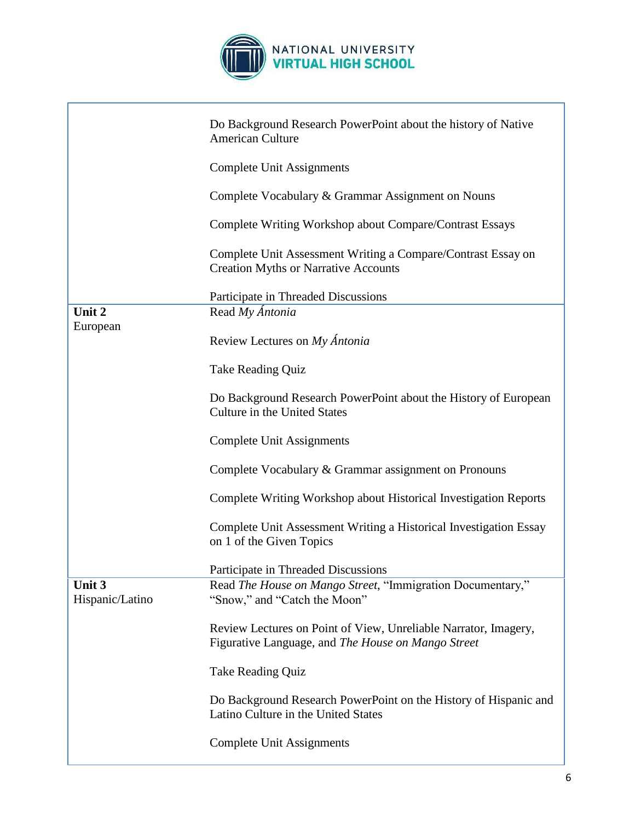

|                           | Do Background Research PowerPoint about the history of Native<br><b>American Culture</b>                              |
|---------------------------|-----------------------------------------------------------------------------------------------------------------------|
|                           | <b>Complete Unit Assignments</b>                                                                                      |
|                           | Complete Vocabulary & Grammar Assignment on Nouns                                                                     |
|                           | Complete Writing Workshop about Compare/Contrast Essays                                                               |
|                           | Complete Unit Assessment Writing a Compare/Contrast Essay on<br><b>Creation Myths or Narrative Accounts</b>           |
|                           | Participate in Threaded Discussions                                                                                   |
| Unit 2<br>European        | Read My Ántonia                                                                                                       |
|                           | Review Lectures on My Ántonia                                                                                         |
|                           | <b>Take Reading Quiz</b>                                                                                              |
|                           | Do Background Research PowerPoint about the History of European<br>Culture in the United States                       |
|                           | <b>Complete Unit Assignments</b>                                                                                      |
|                           | Complete Vocabulary & Grammar assignment on Pronouns                                                                  |
|                           | Complete Writing Workshop about Historical Investigation Reports                                                      |
|                           | Complete Unit Assessment Writing a Historical Investigation Essay<br>on 1 of the Given Topics                         |
|                           | Participate in Threaded Discussions                                                                                   |
| Unit 3<br>Hispanic/Latino | Read The House on Mango Street, "Immigration Documentary,"<br>"Snow," and "Catch the Moon"                            |
|                           | Review Lectures on Point of View, Unreliable Narrator, Imagery,<br>Figurative Language, and The House on Mango Street |
|                           | <b>Take Reading Quiz</b>                                                                                              |
|                           | Do Background Research PowerPoint on the History of Hispanic and<br>Latino Culture in the United States               |
|                           | <b>Complete Unit Assignments</b>                                                                                      |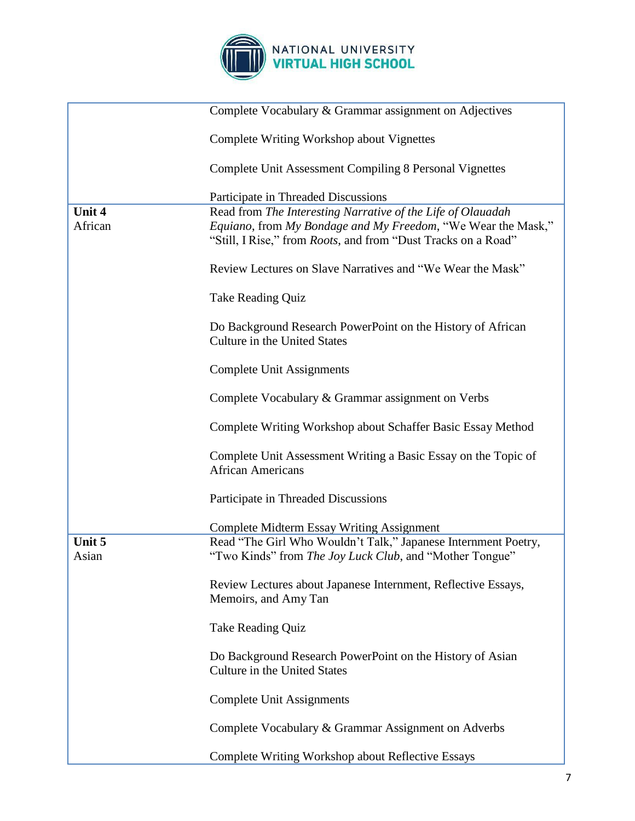

|                 | Complete Vocabulary & Grammar assignment on Adjectives                                                                                |  |
|-----------------|---------------------------------------------------------------------------------------------------------------------------------------|--|
|                 | <b>Complete Writing Workshop about Vignettes</b>                                                                                      |  |
|                 | Complete Unit Assessment Compiling 8 Personal Vignettes                                                                               |  |
|                 | Participate in Threaded Discussions                                                                                                   |  |
| Unit 4          | Read from The Interesting Narrative of the Life of Olauadah                                                                           |  |
| African         | Equiano, from My Bondage and My Freedom, "We Wear the Mask,"<br>"Still, I Rise," from <i>Roots</i> , and from "Dust Tracks on a Road" |  |
|                 | Review Lectures on Slave Narratives and "We Wear the Mask"                                                                            |  |
|                 | Take Reading Quiz                                                                                                                     |  |
|                 | Do Background Research PowerPoint on the History of African<br>Culture in the United States                                           |  |
|                 | Complete Unit Assignments                                                                                                             |  |
|                 | Complete Vocabulary & Grammar assignment on Verbs                                                                                     |  |
|                 | Complete Writing Workshop about Schaffer Basic Essay Method                                                                           |  |
|                 | Complete Unit Assessment Writing a Basic Essay on the Topic of<br><b>African Americans</b>                                            |  |
|                 | Participate in Threaded Discussions                                                                                                   |  |
|                 | <b>Complete Midterm Essay Writing Assignment</b>                                                                                      |  |
| Unit 5<br>Asian | Read "The Girl Who Wouldn't Talk," Japanese Internment Poetry,<br>"Two Kinds" from The Joy Luck Club, and "Mother Tongue"             |  |
|                 | Review Lectures about Japanese Internment, Reflective Essays,<br>Memoirs, and Amy Tan                                                 |  |
|                 | Take Reading Quiz                                                                                                                     |  |
|                 | Do Background Research PowerPoint on the History of Asian<br>Culture in the United States                                             |  |
|                 | Complete Unit Assignments                                                                                                             |  |
|                 | Complete Vocabulary & Grammar Assignment on Adverbs                                                                                   |  |
|                 | <b>Complete Writing Workshop about Reflective Essays</b>                                                                              |  |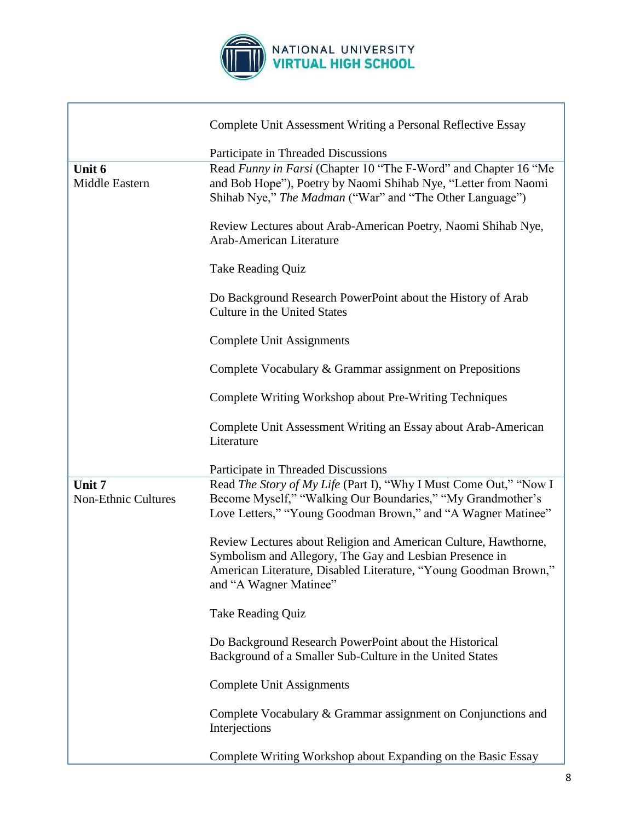

|                                      | Complete Unit Assessment Writing a Personal Reflective Essay                                                                                                                                                             |  |
|--------------------------------------|--------------------------------------------------------------------------------------------------------------------------------------------------------------------------------------------------------------------------|--|
|                                      | Participate in Threaded Discussions                                                                                                                                                                                      |  |
| Unit 6<br>Middle Eastern             | Read Funny in Farsi (Chapter 10 "The F-Word" and Chapter 16 "Me<br>and Bob Hope"), Poetry by Naomi Shihab Nye, "Letter from Naomi<br>Shihab Nye," The Madman ("War" and "The Other Language")                            |  |
|                                      | Review Lectures about Arab-American Poetry, Naomi Shihab Nye,<br>Arab-American Literature                                                                                                                                |  |
|                                      | Take Reading Quiz                                                                                                                                                                                                        |  |
|                                      | Do Background Research PowerPoint about the History of Arab<br><b>Culture in the United States</b>                                                                                                                       |  |
|                                      | Complete Unit Assignments                                                                                                                                                                                                |  |
|                                      | Complete Vocabulary & Grammar assignment on Prepositions                                                                                                                                                                 |  |
|                                      | Complete Writing Workshop about Pre-Writing Techniques                                                                                                                                                                   |  |
|                                      | Complete Unit Assessment Writing an Essay about Arab-American<br>Literature                                                                                                                                              |  |
|                                      | Participate in Threaded Discussions                                                                                                                                                                                      |  |
| Unit 7<br><b>Non-Ethnic Cultures</b> | Read The Story of My Life (Part I), "Why I Must Come Out," "Now I<br>Become Myself," "Walking Our Boundaries," "My Grandmother's<br>Love Letters," "Young Goodman Brown," and "A Wagner Matinee"                         |  |
|                                      | Review Lectures about Religion and American Culture, Hawthorne,<br>Symbolism and Allegory, The Gay and Lesbian Presence in<br>American Literature, Disabled Literature, "Young Goodman Brown,"<br>and "A Wagner Matinee" |  |
|                                      | Take Reading Quiz                                                                                                                                                                                                        |  |
|                                      | Do Background Research PowerPoint about the Historical<br>Background of a Smaller Sub-Culture in the United States                                                                                                       |  |
|                                      | <b>Complete Unit Assignments</b>                                                                                                                                                                                         |  |
|                                      | Complete Vocabulary & Grammar assignment on Conjunctions and<br>Interjections                                                                                                                                            |  |
|                                      | Complete Writing Workshop about Expanding on the Basic Essay                                                                                                                                                             |  |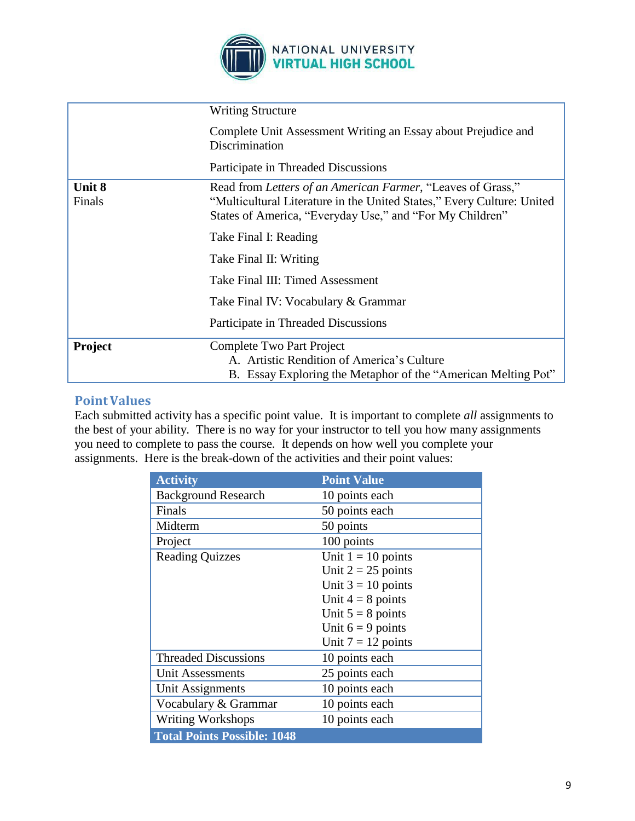

|                  | <b>Writing Structure</b>                                                                                                                                                                          |
|------------------|---------------------------------------------------------------------------------------------------------------------------------------------------------------------------------------------------|
|                  | Complete Unit Assessment Writing an Essay about Prejudice and<br>Discrimination                                                                                                                   |
|                  | Participate in Threaded Discussions                                                                                                                                                               |
| Unit 8<br>Finals | Read from Letters of an American Farmer, "Leaves of Grass,"<br>"Multicultural Literature in the United States," Every Culture: United<br>States of America, "Everyday Use," and "For My Children" |
|                  | Take Final I: Reading                                                                                                                                                                             |
|                  | Take Final II: Writing                                                                                                                                                                            |
|                  | Take Final III: Timed Assessment                                                                                                                                                                  |
|                  | Take Final IV: Vocabulary & Grammar                                                                                                                                                               |
|                  | Participate in Threaded Discussions                                                                                                                                                               |
| Project          | Complete Two Part Project<br>A. Artistic Rendition of America's Culture<br>B. Essay Exploring the Metaphor of the "American Melting Pot"                                                          |

#### **PointValues**

Each submitted activity has a specific point value. It is important to complete *all* assignments to the best of your ability. There is no way for your instructor to tell you how many assignments you need to complete to pass the course. It depends on how well you complete your assignments. Here is the break-down of the activities and their point values:

| <b>Activity</b>                    | <b>Point Value</b>   |
|------------------------------------|----------------------|
| <b>Background Research</b>         | 10 points each       |
| Finals                             | 50 points each       |
| Midterm                            | 50 points            |
| Project                            | 100 points           |
| <b>Reading Quizzes</b>             | Unit $1 = 10$ points |
|                                    | Unit $2 = 25$ points |
|                                    | Unit $3 = 10$ points |
|                                    | Unit $4 = 8$ points  |
|                                    | Unit $5 = 8$ points  |
|                                    | Unit $6 = 9$ points  |
|                                    | Unit $7 = 12$ points |
| <b>Threaded Discussions</b>        | 10 points each       |
| Unit Assessments                   | 25 points each       |
| <b>Unit Assignments</b>            | 10 points each       |
| Vocabulary & Grammar               | 10 points each       |
| <b>Writing Workshops</b>           | 10 points each       |
| <b>Total Points Possible: 1048</b> |                      |